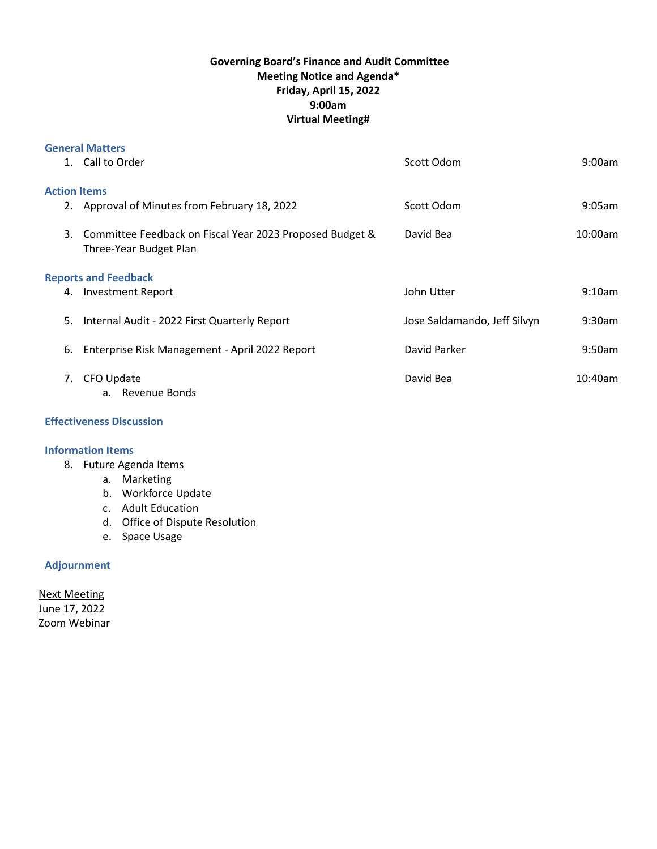# **Governing Board's Finance and Audit Committee Meeting Notice and Agenda\* Friday, April 15, 2022 9:00am Virtual Meeting#**

|                             | <b>General Matters</b>                                                                |                              |            |
|-----------------------------|---------------------------------------------------------------------------------------|------------------------------|------------|
|                             | 1. Call to Order                                                                      | Scott Odom                   | $9:00$ am  |
| <b>Action Items</b>         |                                                                                       |                              |            |
|                             | 2. Approval of Minutes from February 18, 2022                                         | Scott Odom                   | $9:05$ am  |
|                             | 3. Committee Feedback on Fiscal Year 2023 Proposed Budget &<br>Three-Year Budget Plan | David Bea                    | 10:00am    |
| <b>Reports and Feedback</b> |                                                                                       |                              |            |
|                             | 4. Investment Report                                                                  | John Utter                   | $9:10$ am  |
| 5.                          | Internal Audit - 2022 First Quarterly Report                                          | Jose Saldamando, Jeff Silvyn | $9:30$ am  |
| 6.                          | Enterprise Risk Management - April 2022 Report                                        | David Parker                 | $9:50$ am  |
| 7.                          | CFO Update<br>a. Revenue Bonds                                                        | David Bea                    | $10:40$ am |

## **Effectiveness Discussion**

#### **Information Items**

- 8. Future Agenda Items
	- a. Marketing
	- b. Workforce Update
	- c. Adult Education
	- d. Office of Dispute Resolution
	- e. Space Usage

### **Adjournment**

Next Meeting June 17, 2022 Zoom Webinar